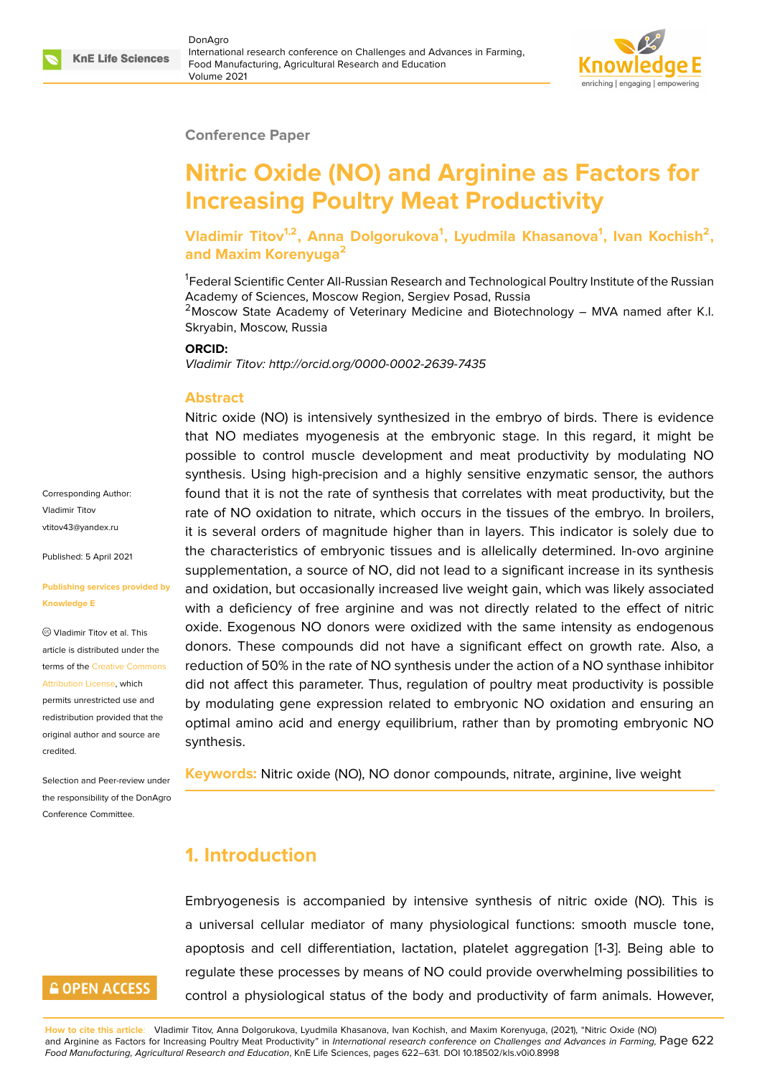#### **Conference Paper**

# **Nitric Oxide (NO) and Arginine as Factors for Increasing Poultry Meat Productivity**

**Vladimir Titov1,2, Anna Dolgorukova<sup>1</sup> , Lyudmila Khasanova<sup>1</sup> , Ivan Kochish<sup>2</sup> , and Maxim Korenyuga<sup>2</sup>**

<sup>1</sup>Federal Scientific Center All-Russian Research and Technological Poultry Institute of the Russian Academy of Sciences, Moscow Region, Sergiev Posad, Russia

 $2$ Moscow State Academy of Veterinary Medicine and Biotechnology - MVA named after K.I. Skryabin, Moscow, Russia

#### **ORCID:**

*Vladimir Titov: http://orcid.org/0000-0002-2639-7435*

#### **Abstract**

Nitric oxide (NO) is intensively synthesized in the embryo of birds. There is evidence that NO mediates myogenesis at the embryonic stage. In this regard, it might be possible to control muscle development and meat productivity by modulating NO synthesis. Using high-precision and a highly sensitive enzymatic sensor, the authors found that it is not the rate of synthesis that correlates with meat productivity, but the rate of NO oxidation to nitrate, which occurs in the tissues of the embryo. In broilers, it is several orders of magnitude higher than in layers. This indicator is solely due to the characteristics of embryonic tissues and is allelically determined. In-ovo arginine supplementation, a source of NO, did not lead to a significant increase in its synthesis and oxidation, but occasionally increased live weight gain, which was likely associated with a deficiency of free arginine and was not directly related to the effect of nitric oxide. Exogenous NO donors were oxidized with the same intensity as endogenous donors. These compounds did not have a significant effect on growth rate. Also, a reduction of 50% in the rate of NO synthesis under the action of a NO synthase inhibitor did not affect this parameter. Thus, regulation of poultry meat productivity is possible by modulating gene expression related to embryonic NO oxidation and ensuring an optimal amino acid and energy equilibrium, rather than by promoting embryonic NO synthesis.

**Keywords:** Nitric oxide (NO), NO donor compounds, nitrate, arginine, live weight

### **1. Introduction**

Embryogenesis is accompanied by intensive synthesis of nitric oxide (NO). This is a universal cellular mediator of many physiological functions: smooth muscle tone, apoptosis and cell differentiation, lactation, platelet aggregation [1-3]. Being able to regulate these processes by means of NO could provide overwhelming possibilities to control a physiological status of the body and productivity of farm animals. However,

Corresponding Author: Vladimir Titov vtitov43@yandex.ru

Published: 5 April 2021

#### **[Publishing services](mailto:vtitov43@yandex.ru) provided by Knowledge E**

Vladimir Titov et al. This article is distributed under the terms of the Creative Commons Attribution License, which

permits unrestricted use and redistribution provided that the original auth[or and source are](https://creativecommons.org/licenses/by/4.0/) [credited.](https://creativecommons.org/licenses/by/4.0/)

Selection and Peer-review under the responsibility of the DonAgro Conference Committee.

# **GOPEN ACCESS**

**How to cite this article**: Vladimir Titov, Anna Dolgorukova, Lyudmila Khasanova, Ivan Kochish, and Maxim Korenyuga, (2021), "Nitric Oxide (NO) and Arginine as Factors for Increasing Poultry Meat Productivity" in *International research conference on Challenges and Advances in Farming,* Page 622 *Food Manufacturing, Agricultural Research and Education*, KnE Life Sciences, pages 622–631. DOI 10.18502/kls.v0i0.8998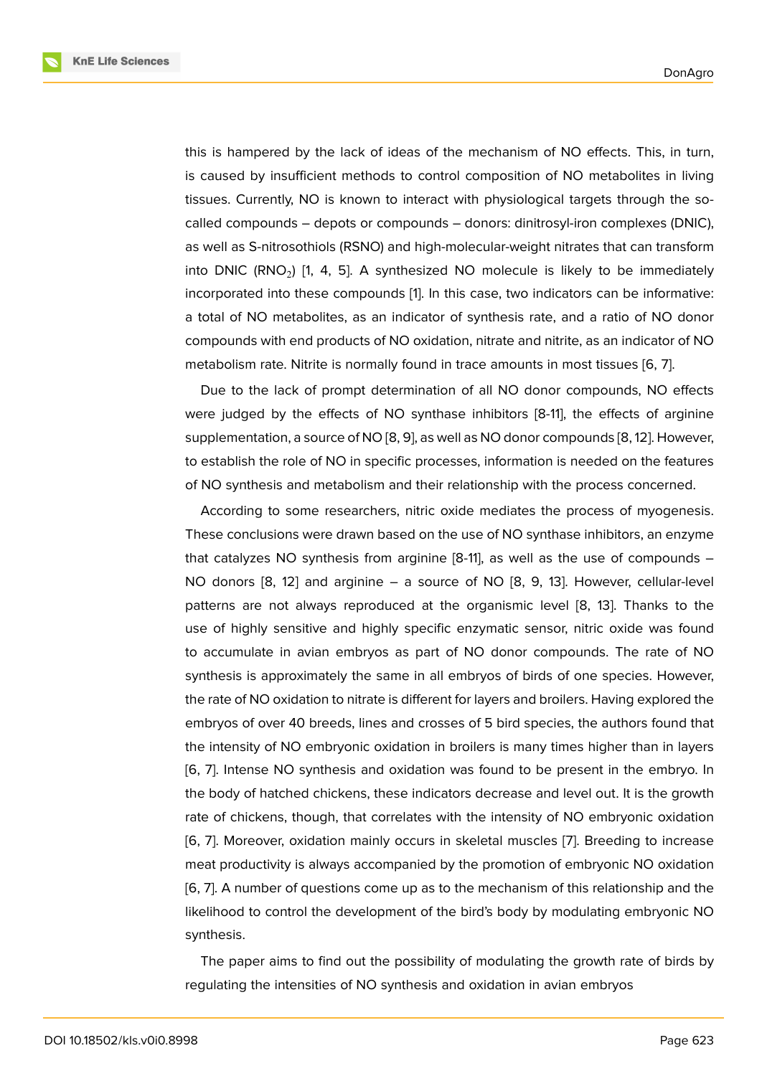this is hampered by the lack of ideas of the mechanism of NO effects. This, in turn, is caused by insufficient methods to control composition of NO metabolites in living tissues. Currently, NO is known to interact with physiological targets through the socalled compounds – depots or compounds – donors: dinitrosyl-iron complexes (DNIC), as well as S-nitrosothiols (RSNO) and high-molecular-weight nitrates that can transform into DNIC (RNO<sub>2</sub>) [1, 4, 5]. A synthesized NO molecule is likely to be immediately incorporated into these compounds [1]. In this case, two indicators can be informative: a total of NO metabolites, as an indicator of synthesis rate, and a ratio of NO donor compounds with en[d](#page-7-0) [pr](#page-8-0)o[du](#page-8-1)cts of NO oxidation, nitrate and nitrite, as an indicator of NO metabolism rate. Nitrite is normally f[ou](#page-7-0)nd in trace amounts in most tissues [6, 7].

Due to the lack of prompt determination of all NO donor compounds, NO effects were judged by the effects of NO synthase inhibitors [8-11], the effects of arginine supplementation, a source of NO [8, 9], as well as NO donor compounds [8, 1[2\].](#page-8-2) [Ho](#page-8-3)wever, to establish the role of NO in specific processes, information is needed on the features of NO synthesis and metabolism and their relationship with the process concerned.

According to some researche[rs](#page-8-4), [n](#page-8-5)itric oxide mediates the process [of](#page-8-4) [my](#page-8-6)ogenesis. These conclusions were drawn based on the use of NO synthase inhibitors, an enzyme that catalyzes NO synthesis from arginine  $[8-11]$ , as well as the use of compounds  $-$ NO donors [8, 12] and arginine – a source of NO [8, 9, 13]. However, cellular-level patterns are not always reproduced at the organismic level [8, 13]. Thanks to the use of highly sensitive and highly specific enzymatic sensor, nitric oxide was found to accumula[te](#page-8-4) [in](#page-8-6) avian embryos as part of NO do[no](#page-8-4)r [c](#page-8-5)o[mp](#page-8-7)ounds. The rate of NO synthesis is approximately the same in all embryos of birds of [on](#page-8-4)[e sp](#page-8-7)ecies. However, the rate of NO oxidation to nitrate is different for layers and broilers. Having explored the embryos of over 40 breeds, lines and crosses of 5 bird species, the authors found that the intensity of NO embryonic oxidation in broilers is many times higher than in layers [6, 7]. Intense NO synthesis and oxidation was found to be present in the embryo. In the body of hatched chickens, these indicators decrease and level out. It is the growth rate of chickens, though, that correlates with the intensity of NO embryonic oxidation [[6](#page-8-2), [7\]](#page-8-3). Moreover, oxidation mainly occurs in skeletal muscles [7]. Breeding to increase meat productivity is always accompanied by the promotion of embryonic NO oxidation [6, 7]. A number of questions come up as to the mechanism of this relationship and the l[ik](#page-8-2)[eli](#page-8-3)hood to control the development of the bird's body by m[od](#page-8-3)ulating embryonic NO synthesis.

[Th](#page-8-3)e paper aims to find out the possibility of modulating the growth rate of birds by regulating the intensities of NO synthesis and oxidation in avian embryos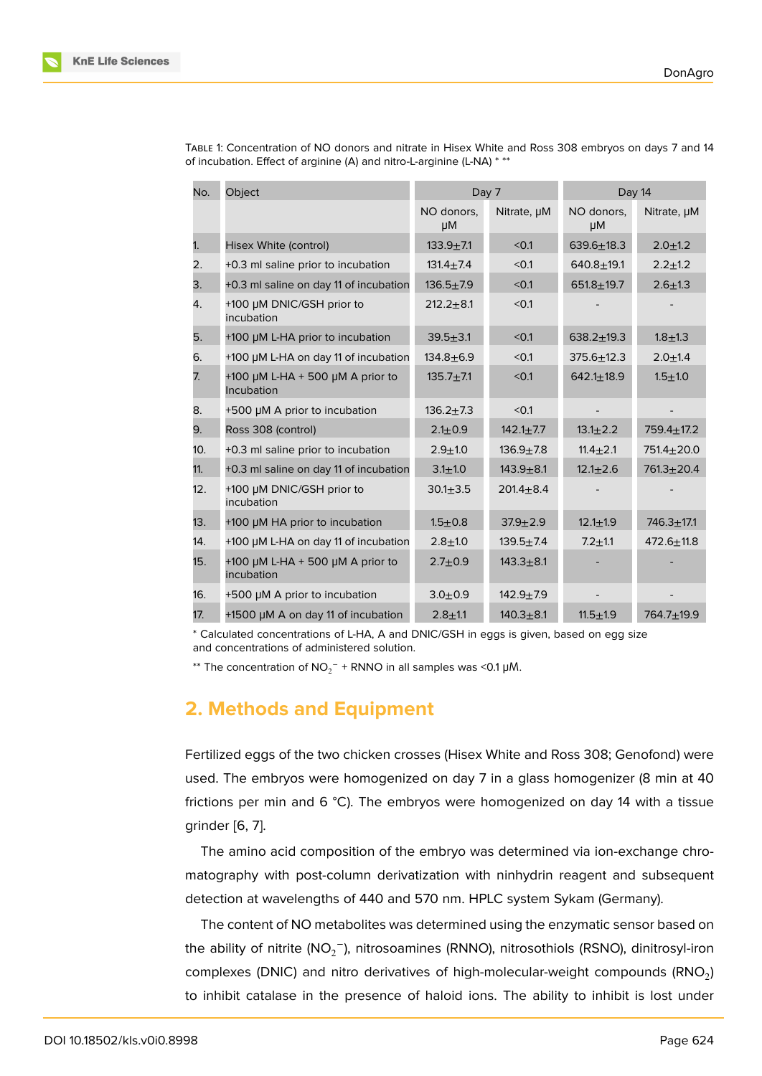| No. | Object                                                   | Day 7            |                 | Day 14           |                  |
|-----|----------------------------------------------------------|------------------|-----------------|------------------|------------------|
|     |                                                          | NO donors,<br>μM | Nitrate, µM     | NO donors,<br>μM | Nitrate, µM      |
| 1.  | Hisex White (control)                                    | $133.9 + 7.1$    | < 0.1           | $639.6 \pm 18.3$ | $2.0 + 1.2$      |
| 2.  | +0.3 ml saline prior to incubation                       | $131.4 + 7.4$    | < 0.1           | $640.8 + 19.1$   | $2.2 + 1.2$      |
| 3.  | +0.3 ml saline on day 11 of incubation                   | $136.5 + 7.9$    | < 0.1           | $651.8 + 19.7$   | $2.6 + 1.3$      |
| 4.  | +100 µM DNIC/GSH prior to<br>incubation                  | $212.2 + 8.1$    | < 0.1           |                  |                  |
| 5.  | +100 µM L-HA prior to incubation                         | $39.5 + 3.1$     | < 0.1           | $638.2 \pm 19.3$ | $1.8 + 1.3$      |
| 6.  | +100 µM L-HA on day 11 of incubation                     | $134.8 + 6.9$    | < 0.1           | $375.6 + 12.3$   | $2.0 + 1.4$      |
| 7.  | +100 $\mu$ M L-HA + 500 $\mu$ M A prior to<br>Incubation | $135.7 + 7.1$    | < 0.1           | $642.1 \pm 18.9$ | $1.5 + 1.0$      |
| 8.  | +500 µM A prior to incubation                            | $136.2 + 7.3$    | < 0.1           |                  |                  |
| 9.  | Ross 308 (control)                                       | $2.1 + 0.9$      | $142.1 \pm 7.7$ | $13.1 \pm 2.2$   | $759.4 \pm 17.2$ |
| 10. | +0.3 ml saline prior to incubation                       | $2.9 + 1.0$      | $136.9 + 7.8$   | $11.4 \pm 2.1$   | $751.4 \pm 20.0$ |
| 11. | +0.3 ml saline on day 11 of incubation                   | $3.1 + 1.0$      | $143.9 + 8.1$   | $12.1 \pm 2.6$   | $761.3 + 20.4$   |
| 12. | +100 µM DNIC/GSH prior to<br>incubation                  | $30.1 \pm 3.5$   | $201.4 + 8.4$   |                  |                  |
| 13. | +100 µM HA prior to incubation                           | $1.5 + 0.8$      | $37.9 + 2.9$    | $12.1 \pm 1.9$   | $746.3 + 17.1$   |
| 14. | +100 µM L-HA on day 11 of incubation                     | $2.8 + 1.0$      | $139.5 + 7.4$   | $7.2 + 1.1$      | $472.6 \pm 11.8$ |
| 15. | +100 $\mu$ M L-HA + 500 $\mu$ M A prior to<br>incubation | $2.7 + 0.9$      | $143.3 + 8.1$   |                  |                  |
| 16. | +500 µM A prior to incubation                            | $3.0 + 0.9$      | $142.9 + 7.9$   |                  |                  |
| 17. | +1500 µM A on day 11 of incubation                       | $2.8 + 1.1$      | $140.3 + 8.1$   | $11.5 + 1.9$     | $764.7 + 19.9$   |

TABLE 1: Concentration of NO donors and nitrate in Hisex White and Ross 308 embryos on days 7 and 14 of incubation. Effect of arginine (A) and nitro-L-arginine (L-NA) \* \*\*

\* Calculated concentrations of L-HA, A and DNIC/GSH in eggs is given, based on egg size and concentrations of administered solution.

\*\* The concentration of  $NO_2^-$  + RNNO in all samples was <0.1 µM.

# **2. Methods and Equipment**

Fertilized eggs of the two chicken crosses (Hisex White and Ross 308; Genofond) were used. The embryos were homogenized on day 7 in a glass homogenizer (8 min at 40 frictions per min and 6  $^{\circ}$ C). The embryos were homogenized on day 14 with a tissue grinder [6, 7].

The amino acid composition of the embryo was determined via ion-exchange chromatography with post-column derivatization with ninhydrin reagent and subsequent detectio[n](#page-8-2) [at](#page-8-3) wavelengths of 440 and 570 nm. HPLC system Sykam (Germany).

The content of NO metabolites was determined using the enzymatic sensor based on the ability of nitrite (NO<sub>2</sub>−), nitrosoamines (RNNO), nitrosothiols (RSNO), dinitrosyl-iron complexes (DNIC) and nitro derivatives of high-molecular-weight compounds  $(\mathsf{RNO}_2)$ to inhibit catalase in the presence of haloid ions. The ability to inhibit is lost under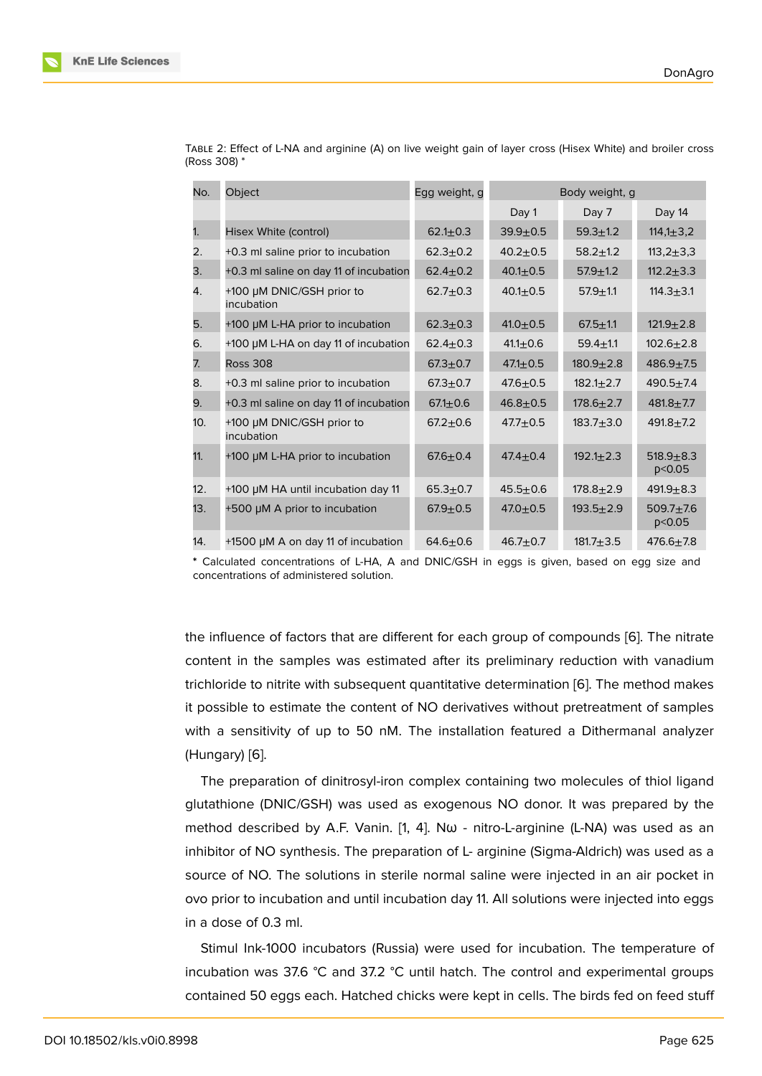| No. | Object                                  | Egg weight, g  | Body weight, g |                 |                           |
|-----|-----------------------------------------|----------------|----------------|-----------------|---------------------------|
|     |                                         |                | Day 1          | Day 7           | Day 14                    |
| 1.  | Hisex White (control)                   | $62.1 \pm 0.3$ | $39.9 + 0.5$   | $59.3 + 1.2$    | $114,1 \pm 3,2$           |
| 2.  | +0.3 ml saline prior to incubation      | $62.3 \pm 0.2$ | $40.2 \pm 0.5$ | $58.2 \pm 1.2$  | $113,2 \pm 3,3$           |
| 3.  | +0.3 ml saline on day 11 of incubation  | $62.4 \pm 0.2$ | $40.1 + 0.5$   | $57.9 \pm 1.2$  | $112.2 \pm 3.3$           |
| 4.  | +100 µM DNIC/GSH prior to<br>incubation | $62.7 + 0.3$   | $40.1 \pm 0.5$ | $57.9 + 1.1$    | $114.3 + 3.1$             |
| 5.  | +100 µM L-HA prior to incubation        | $62.3 \pm 0.3$ | $41.0 \pm 0.5$ | $67.5 + 1.1$    | $121.9 + 2.8$             |
| 6.  | +100 µM L-HA on day 11 of incubation    | $62.4 \pm 0.3$ | $41.1 \pm 0.6$ | $59.4 + 1.1$    | $102.6 \pm 2.8$           |
| 7.  | <b>Ross 308</b>                         | $67.3 + 0.7$   | $47.1 \pm 0.5$ | $180.9 + 2.8$   | $486.9 + 7.5$             |
| 8.  | +0.3 ml saline prior to incubation      | $67.3 + 0.7$   | $47.6 \pm 0.5$ | $182.1 \pm 2.7$ | $490.5 + 7.4$             |
| 9.  | +0.3 ml saline on day 11 of incubation  | $67.1 \pm 0.6$ | $46.8 + 0.5$   | $178.6 \pm 2.7$ | $481.8 + 7.7$             |
| 10. | +100 µM DNIC/GSH prior to<br>incubation | $67.2 \pm 0.6$ | $47.7 + 0.5$   | $183.7 + 3.0$   | $491.8 + 7.2$             |
| 11. | +100 µM L-HA prior to incubation        | $67.6 \pm 0.4$ | $47.4 + 0.4$   | $192.1 \pm 2.3$ | $518.9 + 8.3$<br>p < 0.05 |
| 12. | +100 µM HA until incubation day 11      | $65.3 + 0.7$   | $45.5 + 0.6$   | $178.8 + 2.9$   | $491.9 + 8.3$             |
| 13. | +500 µM A prior to incubation           | $67.9 + 0.5$   | $47.0 \pm 0.5$ | $193.5 \pm 2.9$ | $509.7 + 7.6$<br>p < 0.05 |
| 14. | +1500 µM A on day 11 of incubation      | $64.6 + 0.6$   | $46.7 + 0.7$   | $181.7 + 3.5$   | $476.6 \pm 7.8$           |

TABLE 2: Effect of L-NA and arginine (A) on live weight gain of layer cross (Hisex White) and broiler cross (Ross 308) \*

**\*** Calculated concentrations of L-HA, A and DNIC/GSH in eggs is given, based on egg size and concentrations of administered solution.

the influence of factors that are different for each group of compounds [6]. The nitrate content in the samples was estimated after its preliminary reduction with vanadium trichloride to nitrite with subsequent quantitative determination [6]. The method makes it possible to estimate the content of NO derivatives without pretreatm[en](#page-8-2)t of samples with a sensitivity of up to 50 nM. The installation featured a Dithermanal analyzer (Hungary) [6].

The preparation of dinitrosyl-iron complex containing two molecules of thiol ligand glutathione (DNIC/GSH) was used as exogenous NO donor. It was prepared by the method d[es](#page-8-2)cribed by A.F. Vanin. [1, 4]. N $\omega$  - nitro-L-arginine (L-NA) was used as an inhibitor of NO synthesis. The preparation of L- arginine (Sigma-Aldrich) was used as a source of NO. The solutions in sterile normal saline were injected in an air pocket in ovo prior to incubation and until inc[u](#page-7-0)[ba](#page-8-0)tion day 11. All solutions were injected into eggs in a dose of 0.3 ml.

Stimul Ink-1000 incubators (Russia) were used for incubation. The temperature of incubation was 37.6 °C and 37.2 °C until hatch. The control and experimental groups contained 50 eggs each. Hatched chicks were kept in cells. The birds fed on feed stuff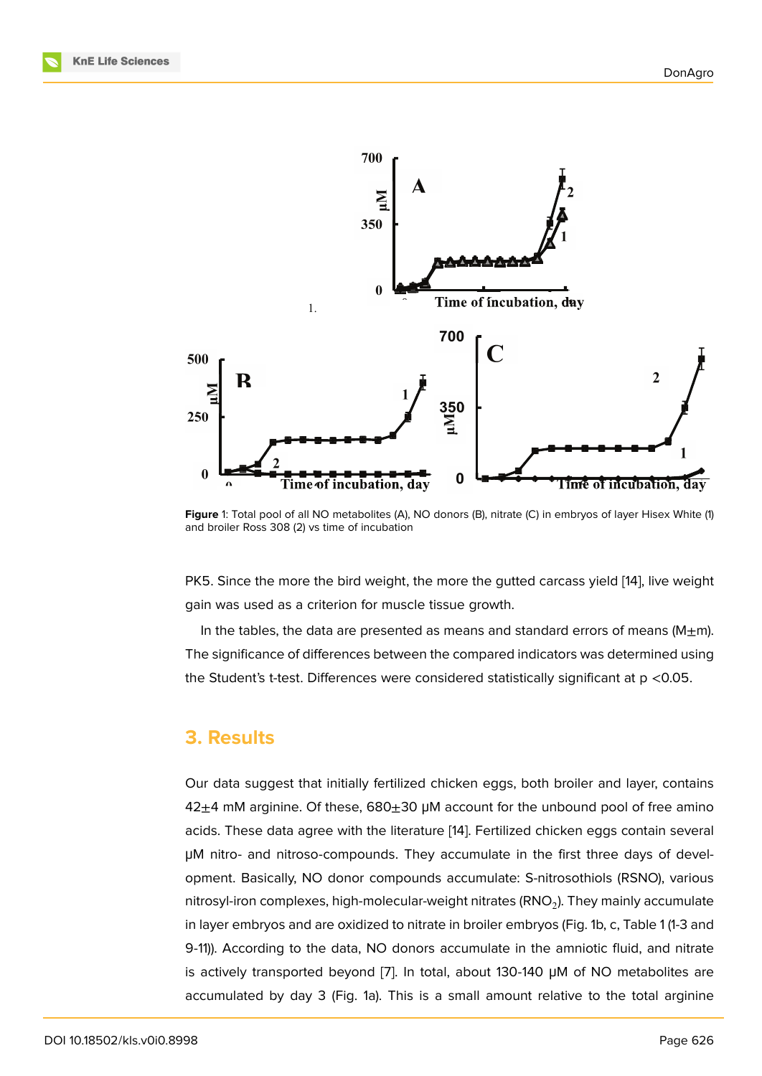

**Figure** 1: Total pool of all NO metabolites (A), NO donors (B), nitrate (C) in embryos of layer Hisex White (1) and broiler Ross 308 (2) vs time of incubation

PK5. Since the more the bird weight, the more the gutted carcass yield [14], live weight gain was used as a criterion for muscle tissue growth.

In the tables, the data are presented as means and standard errors of means  $(M<sub>±</sub>m)$ . The significance of differences between the compared indicators was de[ter](#page-8-8)mined using the Student's t-test. Differences were considered statistically significant at p <0.05.

### **3. Results**

Our data suggest that initially fertilized chicken eggs, both broiler and layer, contains  $42±4$  mM arginine. Of these, 680 $±30$  µM account for the unbound pool of free amino acids. These data agree with the literature [14]. Fertilized chicken eggs contain several μM nitro- and nitroso-compounds. They accumulate in the first three days of development. Basically, NO donor compounds accumulate: S-nitrosothiols (RSNO), various nitrosyl-iron complexes, high-molecular-wei[ght](#page-8-8) nitrates (RNO $_2$ ). They mainly accumulate in layer embryos and are oxidized to nitrate in broiler embryos (Fig. 1b, c, Table 1 (1-3 and 9-11)). According to the data, NO donors accumulate in the amniotic fluid, and nitrate is actively transported beyond [7]. In total, about 130-140 μM of NO metabolites are accumulated by day 3 (Fig. 1a). This is a small amount relative to the total arginine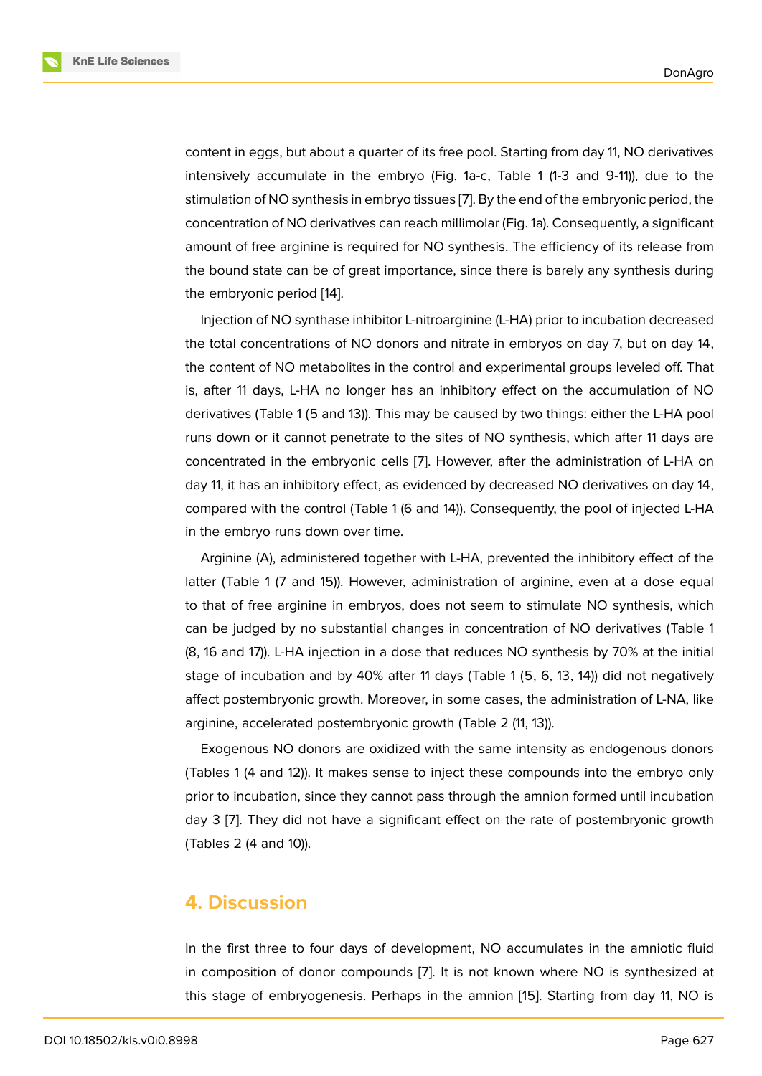content in eggs, but about a quarter of its free pool. Starting from day 11, NO derivatives intensively accumulate in the embryo (Fig. 1a-c, Table 1 (1-3 and 9-11)), due to the stimulation of NO synthesis in embryo tissues [7]. By the end of the embryonic period, the concentration of NO derivatives can reach millimolar (Fig. 1a). Consequently, a significant amount of free arginine is required for NO synthesis. The efficiency of its release from the bound state can be of great importance, [si](#page-8-3)nce there is barely any synthesis during the embryonic period [14].

Injection of NO synthase inhibitor L-nitroarginine (L-HA) prior to incubation decreased the total concentrations of NO donors and nitrate in embryos on day 7, but on day 14, the content of NO met[ab](#page-8-8)olites in the control and experimental groups leveled off. That is, after 11 days, L-HA no longer has an inhibitory effect on the accumulation of NO derivatives (Table 1 (5 and 13)). This may be caused by two things: either the L-HA pool runs down or it cannot penetrate to the sites of NO synthesis, which after 11 days are concentrated in the embryonic cells [7]. However, after the administration of L-HA on day 11, it has an inhibitory effect, as evidenced by decreased NO derivatives on day 14, compared with the control (Table 1 (6 and 14)). Consequently, the pool of injected L-HA in the embryo runs down over time.

Arginine (A), administered together with L-HA, prevented the inhibitory effect of the latter (Table 1 (7 and 15)). However, administration of arginine, even at a dose equal to that of free arginine in embryos, does not seem to stimulate NO synthesis, which can be judged by no substantial changes in concentration of NO derivatives (Table 1 (8, 16 and 17)). L-HA injection in a dose that reduces NO synthesis by 70% at the initial stage of incubation and by 40% after 11 days (Table 1 (5, 6, 13, 14)) did not negatively affect postembryonic growth. Moreover, in some cases, the administration of L-NA, like arginine, accelerated postembryonic growth (Table 2 (11, 13)).

Exogenous NO donors are oxidized with the same intensity as endogenous donors (Tables 1 (4 and 12)). It makes sense to inject these compounds into the embryo only prior to incubation, since they cannot pass through the amnion formed until incubation day 3 [7]. They did not have a significant effect on the rate of postembryonic growth (Tables 2 (4 and 10)).

### **4. Discussion**

In the first three to four days of development, NO accumulates in the amniotic fluid in composition of donor compounds [7]. It is not known where NO is synthesized at this stage of embryogenesis. Perhaps in the amnion [15]. Starting from day 11, NO is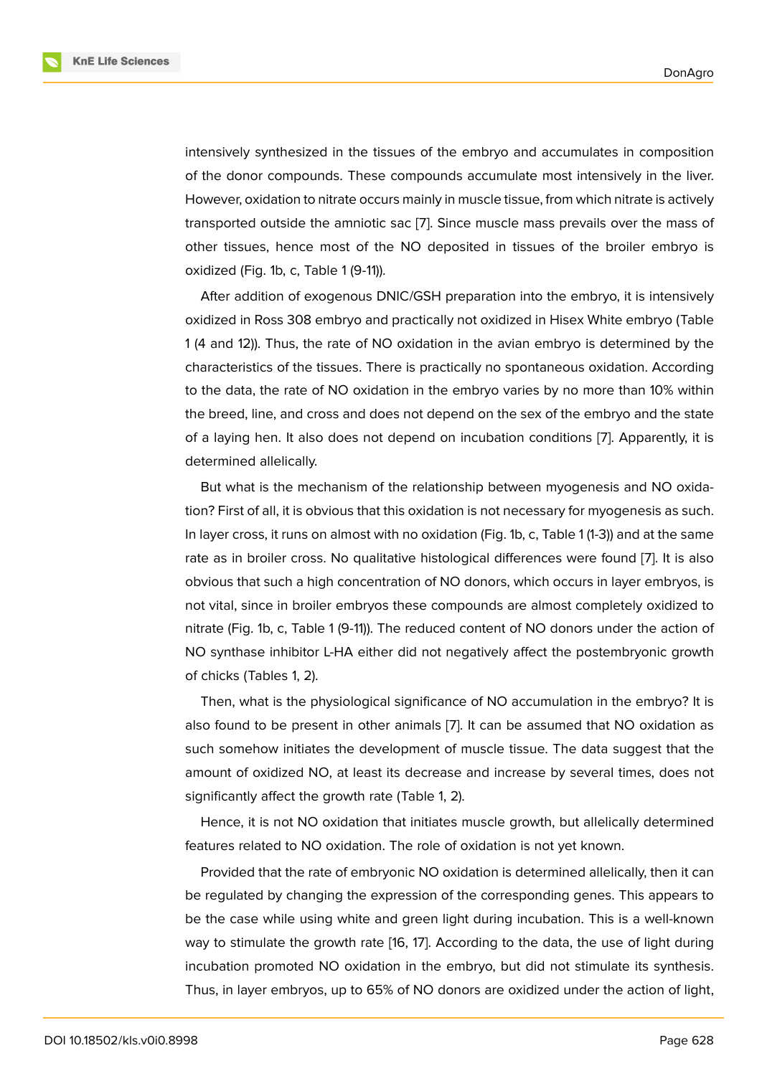intensively synthesized in the tissues of the embryo and accumulates in composition of the donor compounds. These compounds accumulate most intensively in the liver. However, oxidation to nitrate occurs mainly in muscle tissue, from which nitrate is actively transported outside the amniotic sac [7]. Since muscle mass prevails over the mass of other tissues, hence most of the NO deposited in tissues of the broiler embryo is oxidized (Fig. 1b, c, Table 1 (9-11)).

After addition of exogenous DNIC/[GS](#page-8-3)H preparation into the embryo, it is intensively oxidized in Ross 308 embryo and practically not oxidized in Hisex White embryo (Table 1 (4 and 12)). Thus, the rate of NO oxidation in the avian embryo is determined by the characteristics of the tissues. There is practically no spontaneous oxidation. According to the data, the rate of NO oxidation in the embryo varies by no more than 10% within the breed, line, and cross and does not depend on the sex of the embryo and the state of a laying hen. It also does not depend on incubation conditions [7]. Apparently, it is determined allelically.

But what is the mechanism of the relationship between myogenesis and NO oxidation? First of all, it is obvious that this oxidation is not necessary for m[yo](#page-8-3)genesis as such. In layer cross, it runs on almost with no oxidation (Fig. 1b, c, Table 1 (1-3)) and at the same rate as in broiler cross. No qualitative histological differences were found [7]. It is also obvious that such a high concentration of NO donors, which occurs in layer embryos, is not vital, since in broiler embryos these compounds are almost completely oxidized to nitrate (Fig. 1b, c, Table 1 (9-11)). The reduced content of NO donors under t[he](#page-8-3) action of NO synthase inhibitor L-HA either did not negatively affect the postembryonic growth of chicks (Tables 1, 2).

Then, what is the physiological significance of NO accumulation in the embryo? It is also found to be present in other animals [7]. It can be assumed that NO oxidation as such somehow initiates the development of muscle tissue. The data suggest that the amount of oxidized NO, at least its decrease and increase by several times, does not significantly affect the growth rate (Table 1, [2](#page-8-3)).

Hence, it is not NO oxidation that initiates muscle growth, but allelically determined features related to NO oxidation. The role of oxidation is not yet known.

Provided that the rate of embryonic NO oxidation is determined allelically, then it can be regulated by changing the expression of the corresponding genes. This appears to be the case while using white and green light during incubation. This is a well-known way to stimulate the growth rate [16, 17]. According to the data, the use of light during incubation promoted NO oxidation in the embryo, but did not stimulate its synthesis. Thus, in layer embryos, up to 65% of NO donors are oxidized under the action of light,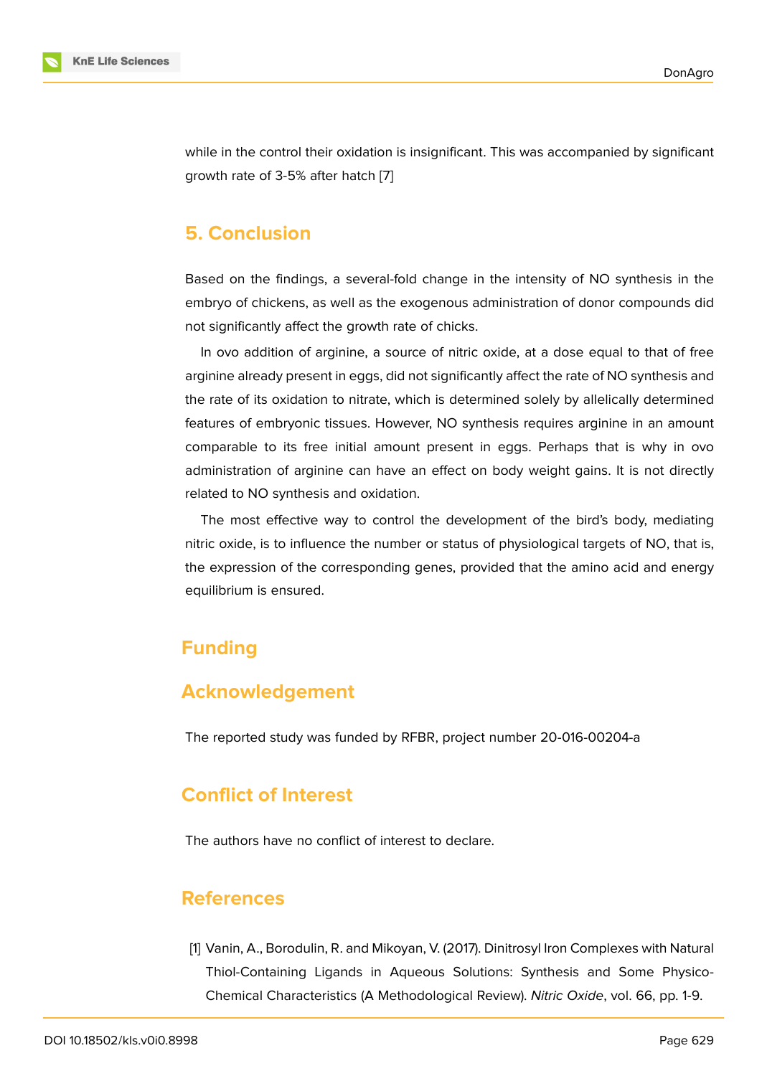while in the control their oxidation is insignificant. This was accompanied by significant growth rate of 3-5% after hatch [7]

## **5. Conclusion**

Based on the findings, a several-fold change in the intensity of NO synthesis in the embryo of chickens, as well as the exogenous administration of donor compounds did not significantly affect the growth rate of chicks.

In ovo addition of arginine, a source of nitric oxide, at a dose equal to that of free arginine already present in eggs, did not significantly affect the rate of NO synthesis and the rate of its oxidation to nitrate, which is determined solely by allelically determined features of embryonic tissues. However, NO synthesis requires arginine in an amount comparable to its free initial amount present in eggs. Perhaps that is why in ovo administration of arginine can have an effect on body weight gains. It is not directly related to NO synthesis and oxidation.

The most effective way to control the development of the bird's body, mediating nitric oxide, is to influence the number or status of physiological targets of NO, that is, the expression of the corresponding genes, provided that the amino acid and energy equilibrium is ensured.

# **Funding**

# **Acknowledgement**

The reported study was funded by RFBR, project number 20-016-00204-a

# **Conflict of Interest**

The authors have no conflict of interest to declare.

### **References**

<span id="page-7-0"></span>[1] Vanin, A., Borodulin, R. and Mikoyan, V. (2017). Dinitrosyl Iron Complexes with Natural Thiol-Containing Ligands in Aqueous Solutions: Synthesis and Some Physico-Chemical Characteristics (A Methodological Review). *Nitric Oxide*, vol. 66, pp. 1-9.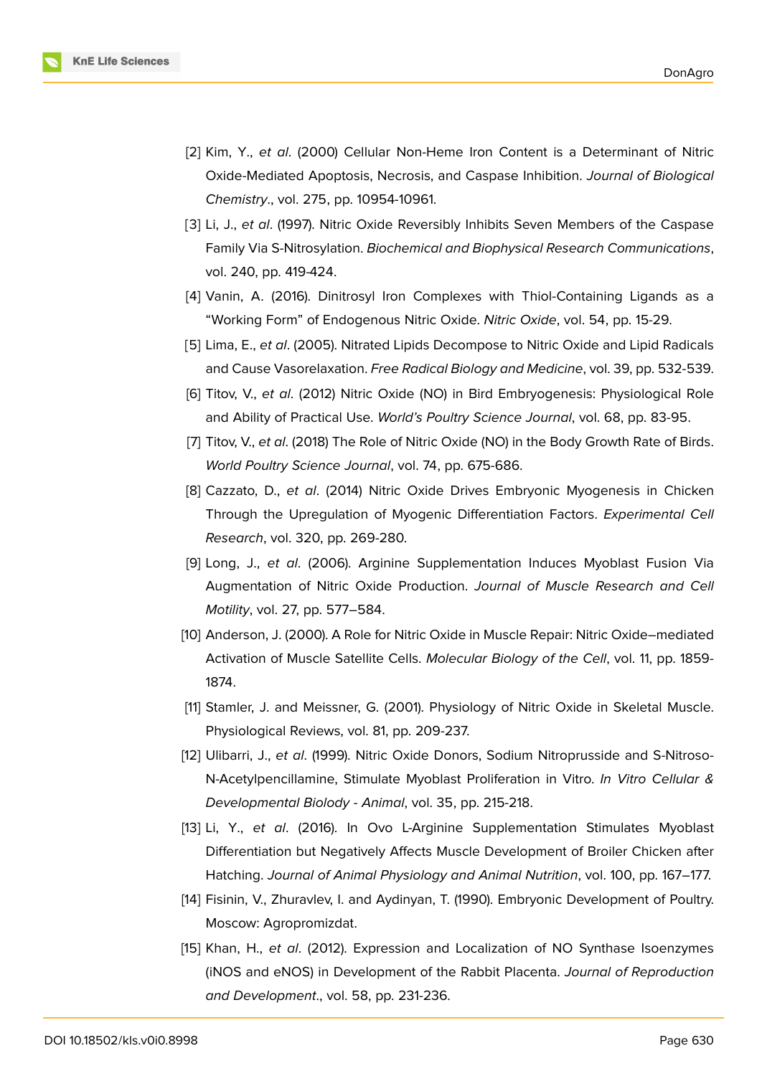

- [2] Kim, Y., *et al*. (2000) Cellular Non-Heme Iron Content is a Determinant of Nitric Oxide-Mediated Apoptosis, Necrosis, and Caspase Inhibition. *Journal of Biological Chemistry*., vol. 275, pp. 10954-10961.
- [3] Li, J., *et al*. (1997). Nitric Oxide Reversibly Inhibits Seven Members of the Caspase Family Via S-Nitrosylation. *Biochemical and Biophysical Research Communications*, vol. 240, pp. 419-424.
- <span id="page-8-0"></span>[4] Vanin, A. (2016). Dinitrosyl Iron Complexes with Thiol-Containing Ligands as a "Working Form" of Endogenous Nitric Oxide. *Nitric Oxide*, vol. 54, pp. 15-29.
- <span id="page-8-1"></span>[5] Lima, E., *et al*. (2005). Nitrated Lipids Decompose to Nitric Oxide and Lipid Radicals and Cause Vasorelaxation. *Free Radical Biology and Medicine*, vol. 39, pp. 532-539.
- <span id="page-8-2"></span>[6] Titov, V., *et al*. (2012) Nitric Oxide (NO) in Bird Embryogenesis: Physiological Role and Ability of Practical Use. *World's Poultry Science Journal*, vol. 68, pp. 83-95.
- <span id="page-8-3"></span>[7] Titov, V., *et al*. (2018) The Role of Nitric Oxide (NO) in the Body Growth Rate of Birds. *World Poultry Science Journal*, vol. 74, pp. 675-686.
- <span id="page-8-4"></span>[8] Cazzato, D., *et al*. (2014) Nitric Oxide Drives Embryonic Myogenesis in Chicken Through the Upregulation of Myogenic Differentiation Factors. *Experimental Cell Research*, vol. 320, pp. 269-280.
- <span id="page-8-5"></span>[9] Long, J., *et al*. (2006). Arginine Supplementation Induces Myoblast Fusion Via Augmentation of Nitric Oxide Production. *Journal of Muscle Research and Cell Motility*, vol. 27, pp. 577–584.
- [10] Anderson, J. (2000). A Role for Nitric Oxide in Muscle Repair: Nitric Oxide–mediated Activation of Muscle Satellite Cells. *Molecular Biology of the Cell*, vol. 11, pp. 1859- 1874.
- [11] Stamler, J. and Meissner, G. (2001). Physiology of Nitric Oxide in Skeletal Muscle. Physiological Reviews, vol. 81, pp. 209-237.
- <span id="page-8-6"></span>[12] Ulibarri, J., *et al*. (1999). Nitric Oxide Donors, Sodium Nitroprusside and S-Nitroso-N-Acetylpencillamine, Stimulate Myoblast Proliferation in Vitro. *In Vitro Cellular & Developmental Biolody - Animal*, vol. 35, pp. 215-218.
- <span id="page-8-7"></span>[13] Li, Y., *et al*. (2016). In Ovo L-Arginine Supplementation Stimulates Myoblast Differentiation but Negatively Affects Muscle Development of Broiler Chicken after Hatching. *Journal of Animal Physiology and Animal Nutrition*, vol. 100, pp. 167–177.
- <span id="page-8-8"></span>[14] Fisinin, V., Zhuravlev, I. and Aydinyan, T. (1990). Embryonic Development of Poultry. Moscow: Agropromizdat.
- [15] Khan, H., *et al*. (2012). Expression and Localization of NO Synthase Isoenzymes (iNOS and eNOS) in Development of the Rabbit Placenta. *Journal of Reproduction and Development*., vol. 58, pp. 231-236.